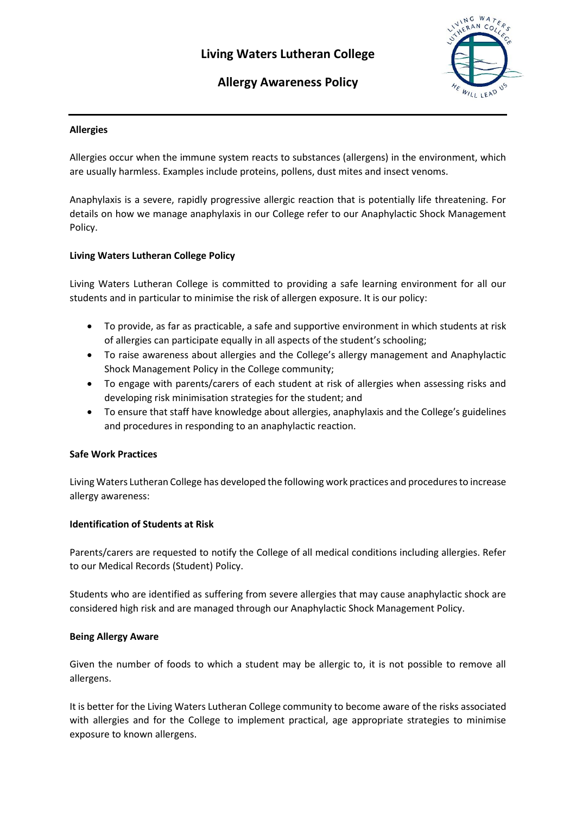# **Living Waters Lutheran College**





# **Allergies**

Allergies occur when the immune system reacts to substances (allergens) in the environment, which are usually harmless. Examples include proteins, pollens, dust mites and insect venoms.

Anaphylaxis is a severe, rapidly progressive allergic reaction that is potentially life threatening. For details on how we manage anaphylaxis in our College refer to our Anaphylactic Shock Management Policy.

# **Living Waters Lutheran College Policy**

Living Waters Lutheran College is committed to providing a safe learning environment for all our students and in particular to minimise the risk of allergen exposure. It is our policy:

- To provide, as far as practicable, a safe and supportive environment in which students at risk of allergies can participate equally in all aspects of the student's schooling;
- To raise awareness about allergies and the College's allergy management and Anaphylactic Shock Management Policy in the College community;
- To engage with parents/carers of each student at risk of allergies when assessing risks and developing risk minimisation strategies for the student; and
- To ensure that staff have knowledge about allergies, anaphylaxis and the College's guidelines and procedures in responding to an anaphylactic reaction.

## **Safe Work Practices**

Living Waters Lutheran College has developed the following work practices and procedures to increase allergy awareness:

## **Identification of Students at Risk**

Parents/carers are requested to notify the College of all medical conditions including allergies. Refer to our Medical Records (Student) Policy.

Students who are identified as suffering from severe allergies that may cause anaphylactic shock are considered high risk and are managed through our Anaphylactic Shock Management Policy.

## **Being Allergy Aware**

Given the number of foods to which a student may be allergic to, it is not possible to remove all allergens.

It is better for the Living Waters Lutheran College community to become aware of the risks associated with allergies and for the College to implement practical, age appropriate strategies to minimise exposure to known allergens.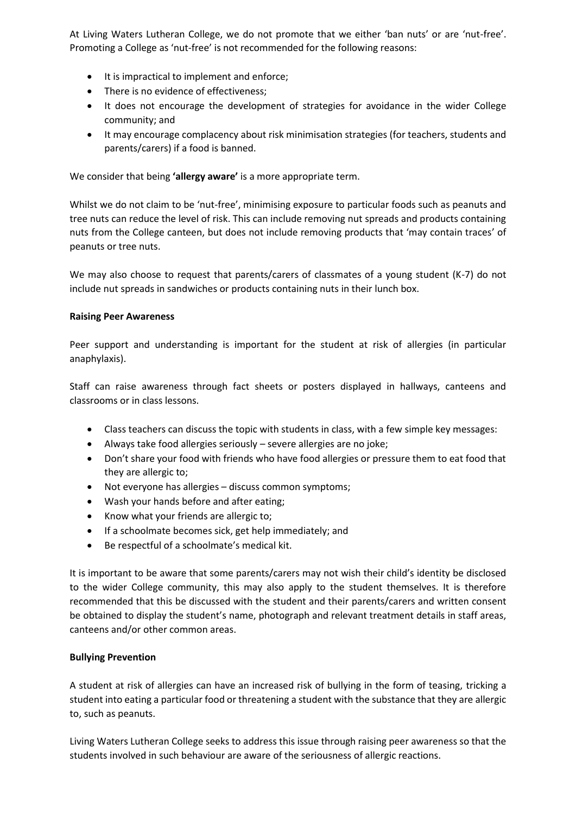At Living Waters Lutheran College, we do not promote that we either 'ban nuts' or are 'nut-free'. Promoting a College as 'nut-free' is not recommended for the following reasons:

- It is impractical to implement and enforce;
- There is no evidence of effectiveness;
- It does not encourage the development of strategies for avoidance in the wider College community; and
- It may encourage complacency about risk minimisation strategies (for teachers, students and parents/carers) if a food is banned.

We consider that being **'allergy aware'** is a more appropriate term.

Whilst we do not claim to be 'nut-free', minimising exposure to particular foods such as peanuts and tree nuts can reduce the level of risk. This can include removing nut spreads and products containing nuts from the College canteen, but does not include removing products that 'may contain traces' of peanuts or tree nuts.

We may also choose to request that parents/carers of classmates of a young student (K-7) do not include nut spreads in sandwiches or products containing nuts in their lunch box.

## **Raising Peer Awareness**

Peer support and understanding is important for the student at risk of allergies (in particular anaphylaxis).

Staff can raise awareness through fact sheets or posters displayed in hallways, canteens and classrooms or in class lessons.

- Class teachers can discuss the topic with students in class, with a few simple key messages:
- Always take food allergies seriously severe allergies are no joke;
- Don't share your food with friends who have food allergies or pressure them to eat food that they are allergic to;
- Not everyone has allergies discuss common symptoms;
- Wash your hands before and after eating;
- Know what your friends are allergic to;
- If a schoolmate becomes sick, get help immediately; and
- Be respectful of a schoolmate's medical kit.

It is important to be aware that some parents/carers may not wish their child's identity be disclosed to the wider College community, this may also apply to the student themselves. It is therefore recommended that this be discussed with the student and their parents/carers and written consent be obtained to display the student's name, photograph and relevant treatment details in staff areas, canteens and/or other common areas.

# **Bullying Prevention**

A student at risk of allergies can have an increased risk of bullying in the form of teasing, tricking a student into eating a particular food or threatening a student with the substance that they are allergic to, such as peanuts.

Living Waters Lutheran College seeks to address this issue through raising peer awareness so that the students involved in such behaviour are aware of the seriousness of allergic reactions.